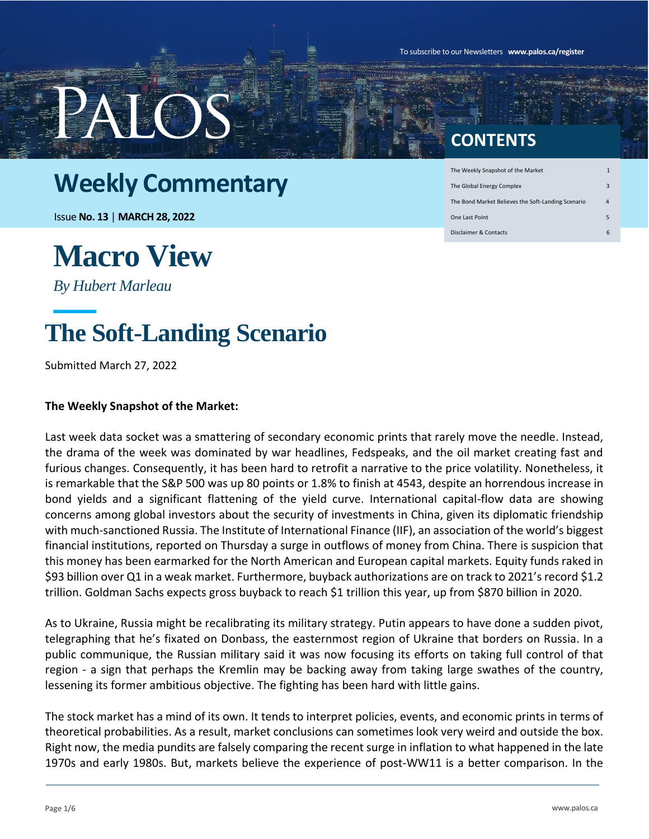To subscribe to our Newsletters **www.palos.ca/register**

### **Weekly Commentary**

Issue **No. 13** | **MARCH 28, 2022**

# **Macro View**

*By Hubert Marleau*

### **The Soft-Landing Scenario**

Submitted March 27, 2022

#### **The Weekly Snapshot of the Market:**

Last week data socket was a smattering of secondary economic prints that rarely move the needle. Instead, the drama of the week was dominated by war headlines, Fedspeaks, and the oil market creating fast and furious changes. Consequently, it has been hard to retrofit a narrative to the price volatility. Nonetheless, it is remarkable that the S&P 500 was up 80 points or 1.8% to finish at 4543, despite an horrendous increase in bond yields and a significant flattening of the yield curve. International capital-flow data are showing concerns among global investors about the security of investments in China, given its diplomatic friendship with much-sanctioned Russia. The Institute of International Finance (IIF), an association of the world's biggest financial institutions, reported on Thursday a surge in outflows of money from China. There is suspicion that this money has been earmarked for the North American and European capital markets. Equity funds raked in \$93 billion over Q1 in a weak market. Furthermore, buyback authorizations are on track to 2021's record \$1.2 trillion. Goldman Sachs expects gross buyback to reach \$1 trillion this year, up from \$870 billion in 2020.

As to Ukraine, Russia might be recalibrating its military strategy. Putin appears to have done a sudden pivot, telegraphing that he's fixated on Donbass, the easternmost region of Ukraine that borders on Russia. In a public communique, the Russian military said it was now focusing its efforts on taking full control of that region - a sign that perhaps the Kremlin may be backing away from taking large swathes of the country, lessening its former ambitious objective. The fighting has been hard with little gains.

The stock market has a mind of its own. It tends to interpret policies, events, and economic prints in terms of theoretical probabilities. As a result, market conclusions can sometimes look very weird and outside the box. Right now, the media pundits are falsely comparing the recent surge in inflation to what happened in the late 1970s and early 1980s. But, markets believe the experience of post-WW11 is a better comparison. In the

### **CONTENTS**

| The Weekly Snapshot of the Market                  | 1 |
|----------------------------------------------------|---|
| The Global Energy Complex                          | з |
| The Bond Market Believes the Soft-Landing Scenario | 4 |
| One Last Point                                     | 5 |
| Disclaimer & Contacts                              | 6 |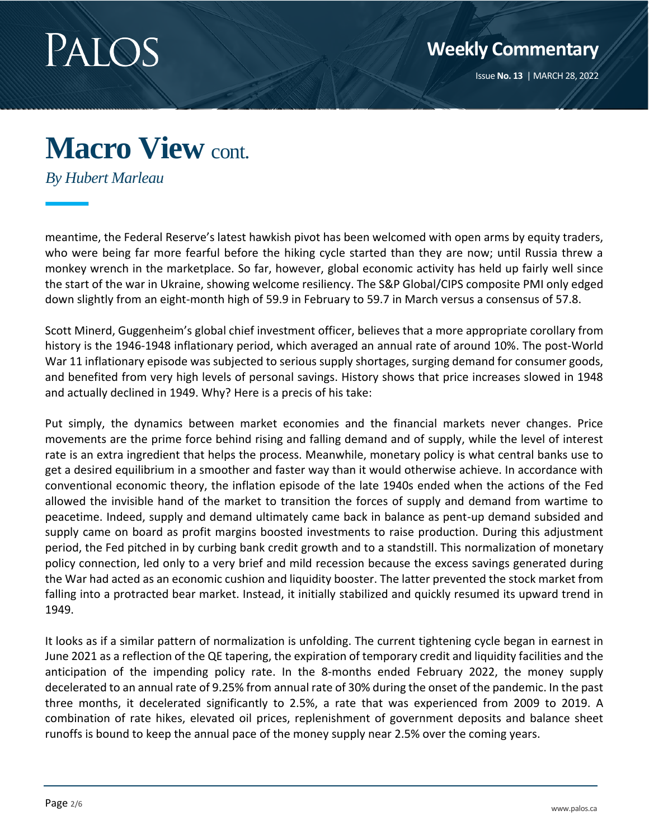

*By Hubert Marleau*

meantime, the Federal Reserve's latest hawkish pivot has been welcomed with open arms by equity traders, who were being far more fearful before the hiking cycle started than they are now; until Russia threw a monkey wrench in the marketplace. So far, however, global economic activity has held up fairly well since the start of the war in Ukraine, showing welcome resiliency. The S&P Global/CIPS composite PMI only edged down slightly from an eight-month high of 59.9 in February to 59.7 in March versus a consensus of 57.8.

Scott Minerd, Guggenheim's global chief investment officer, believes that a more appropriate corollary from history is the 1946-1948 inflationary period, which averaged an annual rate of around 10%. The post-World War 11 inflationary episode was subjected to serious supply shortages, surging demand for consumer goods, and benefited from very high levels of personal savings. History shows that price increases slowed in 1948 and actually declined in 1949. Why? Here is a precis of his take:

Put simply, the dynamics between market economies and the financial markets never changes. Price movements are the prime force behind rising and falling demand and of supply, while the level of interest rate is an extra ingredient that helps the process. Meanwhile, monetary policy is what central banks use to get a desired equilibrium in a smoother and faster way than it would otherwise achieve. In accordance with conventional economic theory, the inflation episode of the late 1940s ended when the actions of the Fed allowed the invisible hand of the market to transition the forces of supply and demand from wartime to peacetime. Indeed, supply and demand ultimately came back in balance as pent-up demand subsided and supply came on board as profit margins boosted investments to raise production. During this adjustment period, the Fed pitched in by curbing bank credit growth and to a standstill. This normalization of monetary policy connection, led only to a very brief and mild recession because the excess savings generated during the War had acted as an economic cushion and liquidity booster. The latter prevented the stock market from falling into a protracted bear market. Instead, it initially stabilized and quickly resumed its upward trend in 1949.

It looks as if a similar pattern of normalization is unfolding. The current tightening cycle began in earnest in June 2021 as a reflection of the QE tapering, the expiration of temporary credit and liquidity facilities and the anticipation of the impending policy rate. In the 8-months ended February 2022, the money supply decelerated to an annual rate of 9.25% from annual rate of 30% during the onset of the pandemic. In the past three months, it decelerated significantly to 2.5%, a rate that was experienced from 2009 to 2019. A combination of rate hikes, elevated oil prices, replenishment of government deposits and balance sheet runoffs is bound to keep the annual pace of the money supply near 2.5% over the coming years.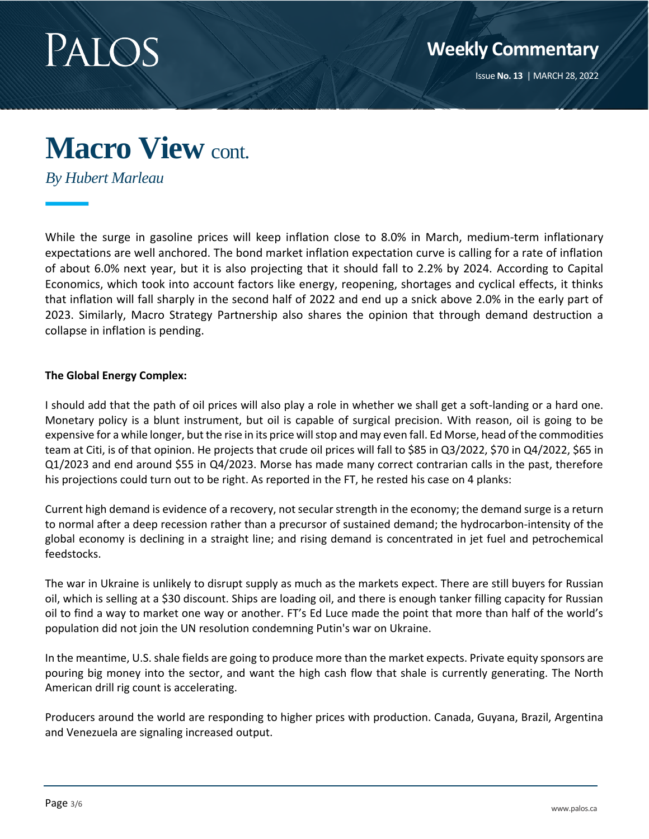

*By Hubert Marleau*

While the surge in gasoline prices will keep inflation close to 8.0% in March, medium-term inflationary expectations are well anchored. The bond market inflation expectation curve is calling for a rate of inflation of about 6.0% next year, but it is also projecting that it should fall to 2.2% by 2024. According to Capital Economics, which took into account factors like energy, reopening, shortages and cyclical effects, it thinks that inflation will fall sharply in the second half of 2022 and end up a snick above 2.0% in the early part of 2023. Similarly, Macro Strategy Partnership also shares the opinion that through demand destruction a collapse in inflation is pending.

#### **The Global Energy Complex:**

I should add that the path of oil prices will also play a role in whether we shall get a soft-landing or a hard one. Monetary policy is a blunt instrument, but oil is capable of surgical precision. With reason, oil is going to be expensive for a while longer, but the rise in its price will stop and may even fall. Ed Morse, head of the commodities team at Citi, is of that opinion. He projects that crude oil prices will fall to \$85 in Q3/2022, \$70 in Q4/2022, \$65 in Q1/2023 and end around \$55 in Q4/2023. Morse has made many correct contrarian calls in the past, therefore his projections could turn out to be right. As reported in the FT, he rested his case on 4 planks:

Current high demand is evidence of a recovery, not secular strength in the economy; the demand surge is a return to normal after a deep recession rather than a precursor of sustained demand; the hydrocarbon-intensity of the global economy is declining in a straight line; and rising demand is concentrated in jet fuel and petrochemical feedstocks.

The war in Ukraine is unlikely to disrupt supply as much as the markets expect. There are still buyers for Russian oil, which is selling at a \$30 discount. Ships are loading oil, and there is enough tanker filling capacity for Russian oil to find a way to market one way or another. FT's Ed Luce made the point that more than half of the world's population did not join the UN resolution condemning Putin's war on Ukraine.

In the meantime, U.S. shale fields are going to produce more than the market expects. Private equity sponsors are pouring big money into the sector, and want the high cash flow that shale is currently generating. The North American drill rig count is accelerating.

Producers around the world are responding to higher prices with production. Canada, Guyana, Brazil, Argentina and Venezuela are signaling increased output.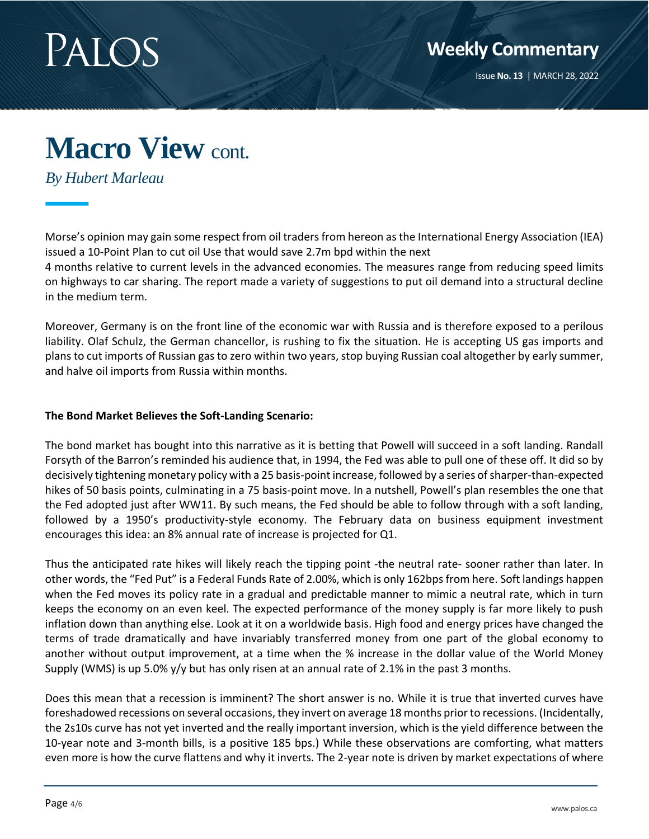

*By Hubert Marleau*

Morse's opinion may gain some respect from oil traders from hereon as the International Energy Association (IEA) issued a 10-Point Plan to cut oil Use that would save 2.7m bpd within the next

4 months relative to current levels in the advanced economies. The measures range from reducing speed limits on highways to car sharing. The report made a variety of suggestions to put oil demand into a structural decline in the medium term.

Moreover, Germany is on the front line of the economic war with Russia and is therefore exposed to a perilous liability. Olaf Schulz, the German chancellor, is rushing to fix the situation. He is accepting US gas imports and plans to cut imports of Russian gas to zero within two years, stop buying Russian coal altogether by early summer, and halve oil imports from Russia within months.

#### **The Bond Market Believes the Soft-Landing Scenario:**

The bond market has bought into this narrative as it is betting that Powell will succeed in a soft landing. Randall Forsyth of the Barron's reminded his audience that, in 1994, the Fed was able to pull one of these off. It did so by decisively tightening monetary policy with a 25 basis-point increase, followed by a series of sharper-than-expected hikes of 50 basis points, culminating in a 75 basis-point move. In a nutshell, Powell's plan resembles the one that the Fed adopted just after WW11. By such means, the Fed should be able to follow through with a soft landing, followed by a 1950's productivity-style economy. The February data on business equipment investment encourages this idea: an 8% annual rate of increase is projected for Q1.

Thus the anticipated rate hikes will likely reach the tipping point -the neutral rate- sooner rather than later. In other words, the "Fed Put" is a Federal Funds Rate of 2.00%, which is only 162bps from here. Soft landings happen when the Fed moves its policy rate in a gradual and predictable manner to mimic a neutral rate, which in turn keeps the economy on an even keel. The expected performance of the money supply is far more likely to push inflation down than anything else. Look at it on a worldwide basis. High food and energy prices have changed the terms of trade dramatically and have invariably transferred money from one part of the global economy to another without output improvement, at a time when the % increase in the dollar value of the World Money Supply (WMS) is up 5.0% y/y but has only risen at an annual rate of 2.1% in the past 3 months.

Does this mean that a recession is imminent? The short answer is no. While it is true that inverted curves have foreshadowed recessions on several occasions, they invert on average 18 months prior to recessions. (Incidentally, the 2s10s curve has not yet inverted and the really important inversion, which is the yield difference between the 10-year note and 3-month bills, is a positive 185 bps.) While these observations are comforting, what matters even more is how the curve flattens and why it inverts. The 2-year note is driven by market expectations of where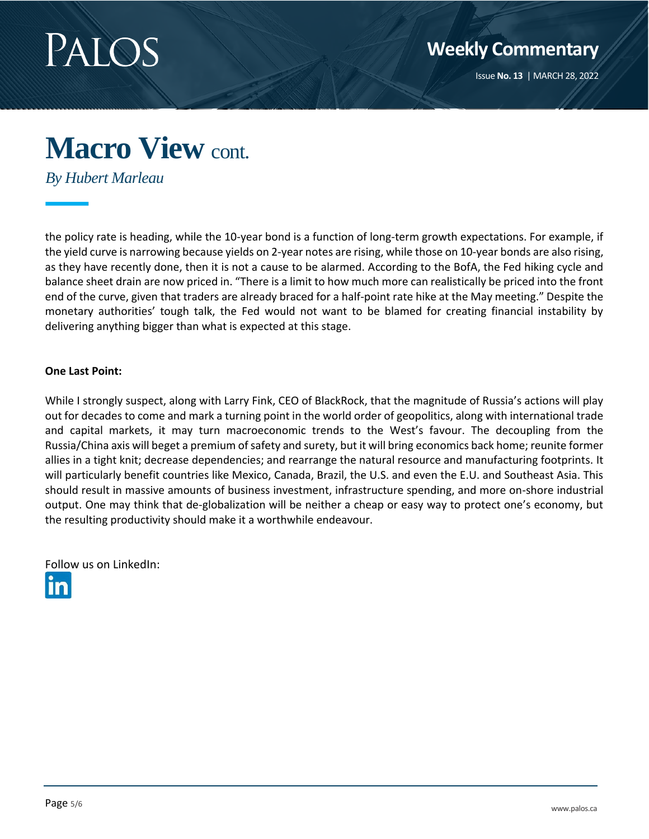

*By Hubert Marleau*

the policy rate is heading, while the 10-year bond is a function of long-term growth expectations. For example, if the yield curve is narrowing because yields on 2-year notes are rising, while those on 10-year bonds are also rising, as they have recently done, then it is not a cause to be alarmed. According to the BofA, the Fed hiking cycle and balance sheet drain are now priced in. "There is a limit to how much more can realistically be priced into the front end of the curve, given that traders are already braced for a half-point rate hike at the May meeting." Despite the monetary authorities' tough talk, the Fed would not want to be blamed for creating financial instability by delivering anything bigger than what is expected at this stage.

#### **One Last Point:**

While I strongly suspect, along with Larry Fink, CEO of BlackRock, that the magnitude of Russia's actions will play out for decades to come and mark a turning point in the world order of geopolitics, along with international trade and capital markets, it may turn macroeconomic trends to the West's favour. The decoupling from the Russia/China axis will beget a premium of safety and surety, but it will bring economics back home; reunite former allies in a tight knit; decrease dependencies; and rearrange the natural resource and manufacturing footprints. It will particularly benefit countries like Mexico, Canada, Brazil, the U.S. and even the E.U. and Southeast Asia. This should result in massive amounts of business investment, infrastructure spending, and more on-shore industrial output. One may think that de-globalization will be neither a cheap or easy way to protect one's economy, but the resulting productivity should make it a worthwhile endeavour.

Follow us on LinkedIn: